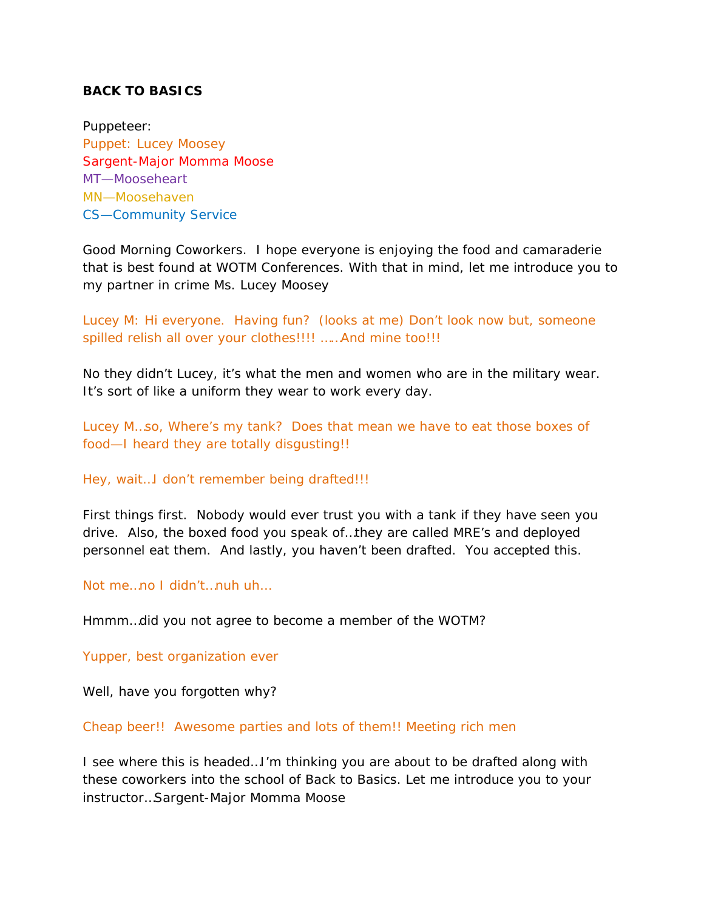## **BACK TO BASICS**

Puppeteer: Puppet: Lucey Moosey Sargent-Major Momma Moose MT—Mooseheart MN—Moosehaven CS—Community Service

Good Morning Coworkers. I hope everyone is enjoying the food and camaraderie that is best found at WOTM Conferences. With that in mind, let me introduce you to my partner in crime Ms. Lucey Moosey

Lucey M: Hi everyone. Having fun? (looks at me) Don't look now but, someone spilled relish all over your clothes!!!! ……And mine too!!!

No they didn't Lucey, it's what the men and women who are in the military wear. It's sort of like a uniform they wear to work every day.

Lucey M…so, Where's my tank? Does that mean we have to eat those boxes of food—I heard they are totally disgusting!!

Hey, wait…I don't remember being drafted!!!

First things first. Nobody would ever trust you with a tank if they have seen you drive. Also, the boxed food you speak of…they are called MRE's and deployed personnel eat them. And lastly, you haven't been drafted. You accepted this.

Not me…no I didn't…nuh uh…

Hmmm…did you not agree to become a member of the WOTM?

Yupper, best organization ever

Well, have you forgotten why?

Cheap beer!! Awesome parties and lots of them!! Meeting rich men

I see where this is headed…I'm thinking you are about to be drafted along with these coworkers into the school of Back to Basics. Let me introduce you to your instructor…Sargent-Major Momma Moose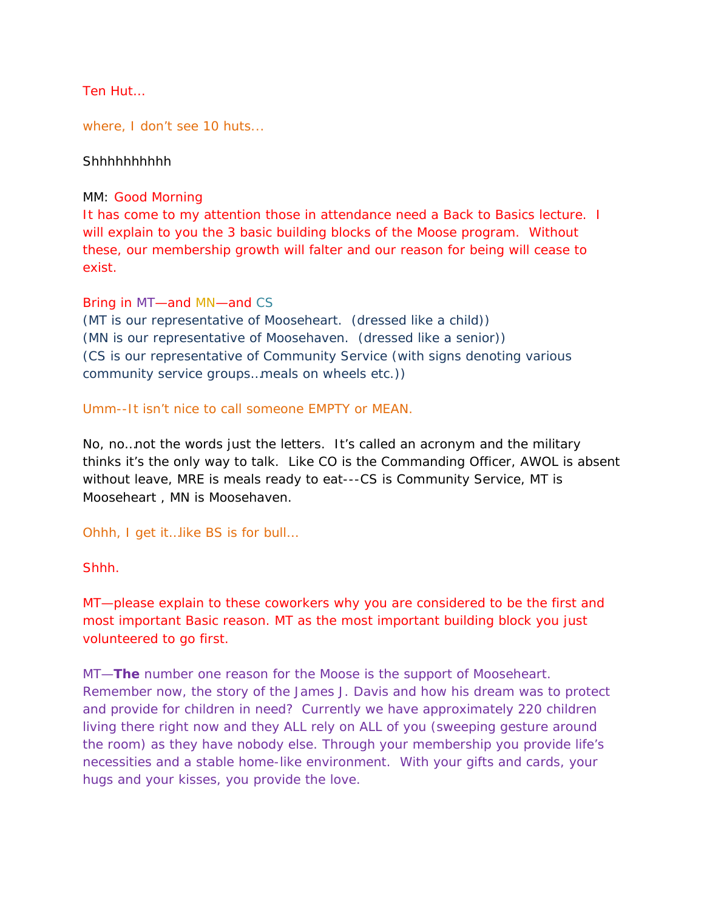Ten Hut…

where, I don't see 10 huts...

Shhhhhhhhhh

MM: Good Morning

It has come to my attention those in attendance need a Back to Basics lecture. I will explain to you the 3 basic building blocks of the Moose program. Without these, our membership growth will falter and our reason for being will cease to exist.

#### Bring in MT—and MN—and CS

(MT is our representative of Mooseheart. (dressed like a child)) (MN is our representative of Moosehaven. (dressed like a senior)) (CS is our representative of Community Service (with signs denoting various community service groups…meals on wheels etc.))

### Umm--It isn't nice to call someone EMPTY or MEAN.

No, no…not the words just the letters. It's called an acronym and the military thinks it's the only way to talk. Like CO is the Commanding Officer, AWOL is absent without leave, MRE is meals ready to eat---CS is Community Service, MT is Mooseheart , MN is Moosehaven.

Ohhh, I get it…like BS is for bull…

#### Shhh.

MT—please explain to these coworkers why you are considered to be the first and most important Basic reason. MT as the most important building block you just volunteered to go first.

MT—**The** number one reason for the Moose is the support of Mooseheart. Remember now, the story of the James J. Davis and how his dream was to protect and provide for children in need? Currently we have approximately 220 children living there right now and they ALL rely on ALL of you (sweeping gesture around the room) as they have nobody else. Through your membership you provide life's necessities and a stable home-like environment. With your gifts and cards, your hugs and your kisses, you provide the love.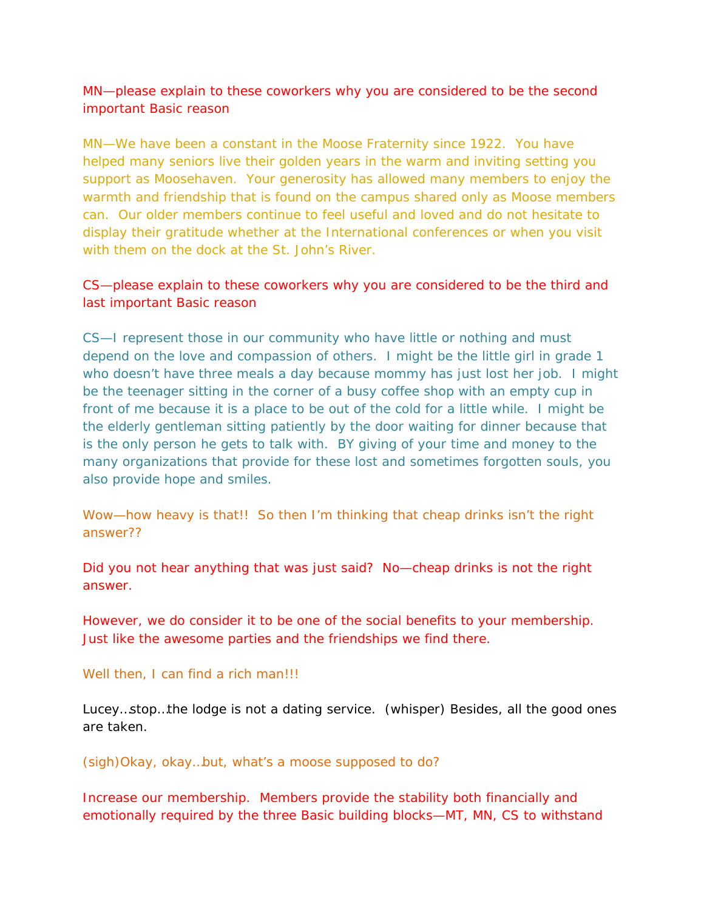MN—please explain to these coworkers why you are considered to be the second important Basic reason

MN—We have been a constant in the Moose Fraternity since 1922. You have helped many seniors live their golden years in the warm and inviting setting you support as Moosehaven. Your generosity has allowed many members to enjoy the warmth and friendship that is found on the campus shared only as Moose members can. Our older members continue to feel useful and loved and do not hesitate to display their gratitude whether at the International conferences or when you visit with them on the dock at the St. John's River.

# CS—please explain to these coworkers why you are considered to be the third and last important Basic reason

CS—I represent those in our community who have little or nothing and must depend on the love and compassion of others. I might be the little girl in grade 1 who doesn't have three meals a day because mommy has just lost her job. I might be the teenager sitting in the corner of a busy coffee shop with an empty cup in front of me because it is a place to be out of the cold for a little while. I might be the elderly gentleman sitting patiently by the door waiting for dinner because that is the only person he gets to talk with. BY giving of your time and money to the many organizations that provide for these lost and sometimes forgotten souls, you also provide hope and smiles.

Wow—how heavy is that!! So then I'm thinking that cheap drinks isn't the right answer??

Did you not hear anything that was just said? No—cheap drinks is not the right answer.

However, we do consider it to be one of the social benefits to your membership. Just like the awesome parties and the friendships we find there.

#### Well then, I can find a rich man!!!

Lucey…stop…the lodge is not a dating service. (whisper) Besides, all the good ones are taken.

#### (sigh)Okay, okay…but, what's a moose supposed to do?

Increase our membership. Members provide the stability both financially and emotionally required by the three Basic building blocks—MT, MN, CS to withstand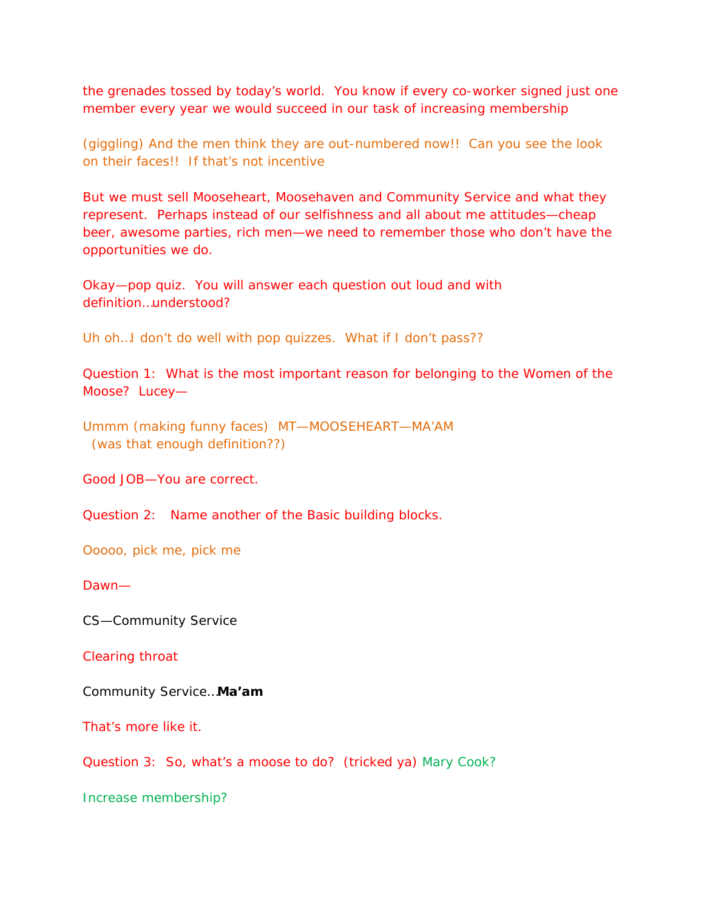the grenades tossed by today's world. You know if every co-worker signed just one member every year we would succeed in our task of increasing membership

(giggling) And the men think they are out-numbered now!! Can you see the look on their faces!! If that's not incentive

But we must sell Mooseheart, Moosehaven and Community Service and what they represent. Perhaps instead of our selfishness and all about me attitudes—cheap beer, awesome parties, rich men—we need to remember those who don't have the opportunities we do.

Okay—pop quiz. You will answer each question out loud and with definition…understood?

Uh oh... I don't do well with pop quizzes. What if I don't pass??

Question 1: What is the most important reason for belonging to the Women of the Moose? Lucey—

Ummm (making funny faces) MT—MOOSEHEART—MA'AM (was that enough definition??)

Good JOB—You are correct.

Question 2: Name another of the Basic building blocks.

Ooooo, pick me, pick me

Dawn—

CS—Community Service

Clearing throat

Community Service…**Ma'am**

That's more like it.

Question 3: So, what's a moose to do? (tricked ya) Mary Cook?

Increase membership?